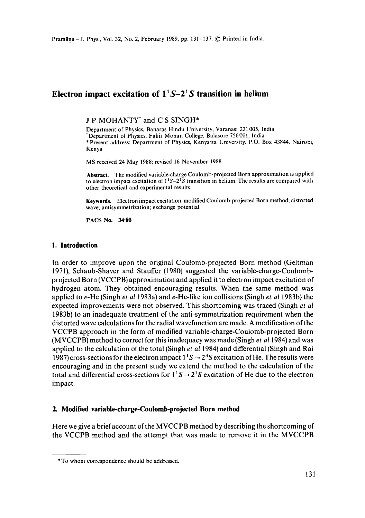# **Electron impact excitation of** *11S-21S* **transition in helium**

J P MOHANTY<sup>†</sup> and C S SINGH<sup>\*</sup>

Department of Physics, Banaras Hindu University, Varanasi 221 005, India tDepartment of Physics, Fakir Mohan College, Balasore 756001, India \*Present address: Department of Physics, Kenyatta University, P.O. Box 43844, Nairobi, Kenya

MS received 24 May 1988; revised 16 November 1988

**Abstract.** The modified variable-charge Coulomb-projected Born approximation is applied to electron impact excitation of  $1<sup>3</sup>S-2<sup>3</sup>S$  transition in helium. The results are compared with other theoretical and experimental results.

Keywords. Electron impact excitation; modified Coulomb-projected Born method; distorted wave; antisymmetrization; exchange potential.

**PACS No. 34-80** 

### **I. Introduction**

In order to improve upon the original Coulomb-projected Born method (Geltman 1971), Schaub-Shaver and Stauffer (1980) suggested the variable-charge-Coulombprojected Born (VCCPB) approximation and applied it to electron impact excitation of hydrogen atom. They obtained encouraging results. When the same method was applied to e-He (Singh *et al* 1983a) and e-He-like ion collisions (Singh *et al* 1983b) the expected improvements were not observed. This shortcoming was traced (Singh *et al*  1983b) to an inadequate treatment of the anti-symmetrization requirement when the distorted wave calculations for the radial wavefunction are made. A modification of the VCCPB approach in the form of modified variable-charge-Coulomb-projected Born (MVCCPB) method to correct for this inadequacy was made (Singh *et a11984)* and was applied to the calculation of the total (Singh *et al* 1984) and differential (Singh and Rai 1987) cross-sections for the electron impact  $1^1S \rightarrow 2^3S$  excitation of He. The results were encouraging and in the present study we extend the method to the calculation of the total and differential cross-sections for  $1<sup>1</sup>S \rightarrow 2<sup>1</sup>S$  excitation of He due to the electron impact.

### **2. Modified variable-charge-Coulomb-projected Born method**

Here we give a brief account of the MVCCPB method by describing the shortcoming of the VCCPB method and the attempt that was made to remove it in the MVCCPB

<sup>\*</sup> To whom correspondence should be addressed.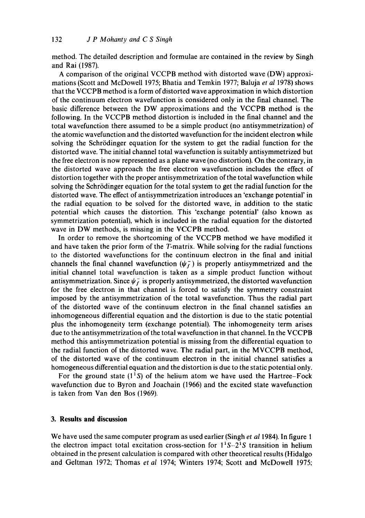method. The detailed description and formulae are contained in the review by Singh and Rai (1987).

A comparison of the original VCCPB method with distorted wave (DW) approximations (Scott and McDowell 1975; Bhatia and Temkin 1977; Baluja *et al* 1978) shows that the VCCPB method is a form of distorted wave approximation in which distortion of the continuum electron wavefunction is considered only in the final channel. The basic difference between the DW approximations and the VCCPB method is the following. In the VCCPB method distortion is included in the final channel and the total wavefunction there assumed to be a simple product (no antisymmetrization) of the atomic wavefunction and the distorted wavefunction for the incident electron while solving the Schrödinger equation for the system to get the radial function for the distorted wave. The initial channel total wavefunction is suitably antisymmetrized but the free electron is now represented as a plane wave (no distortion). On the contrary, in the distorted wave approach the free electron wavefunction includes the effect of distortion together with the proper antisymmetrization of the total wavefunction while solving the Schrödinger equation for the total system to get the radial function for the distorted wave. The effect of antisymmetrization introduces an 'exchange potential' in the radial equation to be solved for the distorted wave, in addition to the static potential which causes the distortion. This 'exchange potential' (also known as symmetrization potential), which is included in the radial equation for the distorted wave in DW methods, is missing in the VCCPB method.

In order to remove the shortcoming of the VCCPB method we have modified it and have taken the prior form of the T-matrix. While solving for the radial functions to the distorted wavefunctions for the continuum electron in the final and initial channels the final channel wavefunction  $(\psi_f^-)$  is properly antisymmetrized and the initial channel total wavefunction is taken as a simple product function without antisymmetrization. Since  $\psi_f^-$  is properly antisymmetrized, the distorted wavefunction for the free electron in that channel is forced to satisfy the symmetry constraint imposed by the antisymmetrization of the total wavefunction. Thus the radial part of the distorted wave of the continuum electron in the final channel satisfies an inhomogeneous differential equation and the distortion is due to the static potential plus the inhomogeneity term (exchange potential). The inhomogeneity term arises due to the antisymmetrization of the total wavefunction in that channel. In the VCCPB method this antisymmetrization potential is missing from the differential equation to the radial function of the distorted wave. The radial part, in the MVCCPB method, of the distorted wave of the continuum electron in the initial channel satisfies a homogeneous differential equation and the distortion is due to the static potential only.

For the ground state  $(1^1S)$  of the helium atom we have used the Hartree-Fock wavefunction due to Byron and Joachain (1966) and the excited state wavefunction is taken from Van den Bos (1969).

## **3. Results and discussion**

We have used the same computer program as used earlier (Singh *et a11984).* In figure 1 the electron impact total excitation cross-section for  $1<sup>1</sup>S-2<sup>1</sup>S$  transition in helium obtained in the present calculation is compared with other theoretical results (Hidalgo and Geltman 1972; Thomas *et al* 1974; Winters 1974; Scott and McDowell 1975: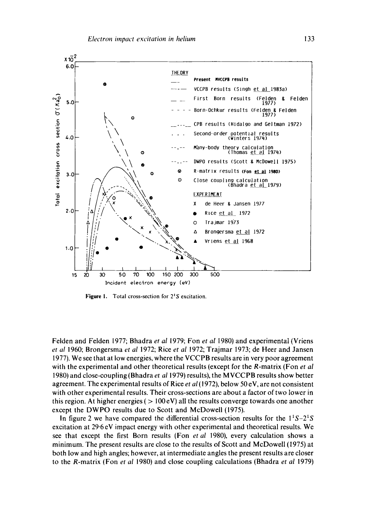

Figure 1. Total cross-section for  $2^1S$  excitation.

Felden and Felden 1977; Bhadra *et al* 1979; Fon *et al* 1980) and experimental (Vriens *et a!* 1960; Brongersma *et al* 1972; Rice *et al* 1972; Trajmar 1973; de Heer and Jansen 1977). We see that at low energies, where the VCCPB results are in very poor agreement with the experimental and other theoretical results (except for the R-matrix (Fon *et al*  1980) and close-coupling (Bhadra *et al* 1979) results), the MVCCPB results show better agreement. The experimental results of Rice *et al* (1972), below 50 eV, are not consistent with other experimental results. Their cross-sections are about a factor of two lower in this region. At higher energies ( $> 100 \text{ eV}$ ) all the results converge towards one another except the DWPO results due to Scott and McDowell (1975).

In figure 2 we have compared the differential cross-section results for the  $1^1S-2^1S$ excitation at 29.6 eV impact energy with other experimental and theoretical results. We see that except the first Born results (Fon *et al* 1980), every calculation shows a minimum. The present results are close to the results of Scott and McDowell (1975) at both low and high angles; however, at intermediate angles the present results are closer to the R-matrix (Fon *et al* 1980) and close coupling calculations (Bhadra *et al* 1979)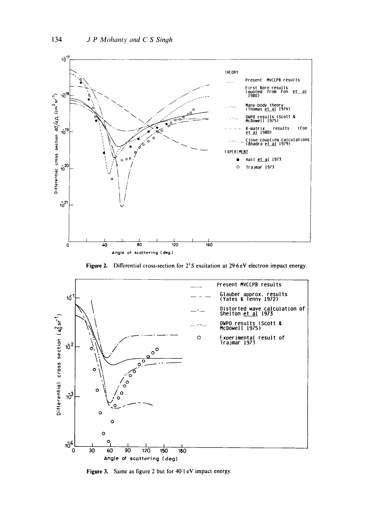

Figure 2. Differential cross-section for  $2^1S$  excitation at  $29.6eV$  electron impact energy.



Figure 3. Same as figure 2 but for 40.1 eV impact energy.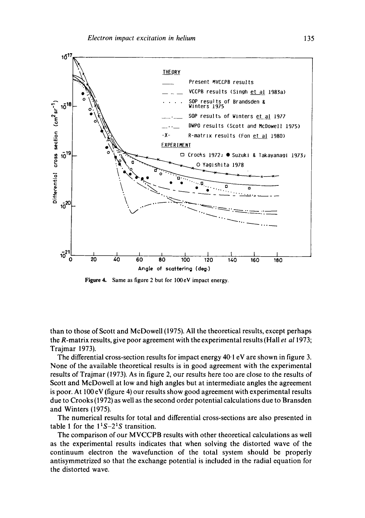

**Figure** 4. Same as figure 2 but for 100eV impact energy.

than to those of Scott and McDowell (1975)• All the theoretical results, except perhaps the R-matrix results, give poor agreement with the experimental results (Hall *et a11973;*  Trajmar 1973).

The differential cross-section results for impact energy 40.1 eV are shown in figure 3. None of the available theoretical results is in good agreement with the experimental results of Trajmar (1973). As in figure 2, our results here too are close to the results of Scott and McDowell at low and high angles but at intermediate angles the agreement is poor. At 100 eV (figure 4) our results show good agreement with experimental results due to Crooks (1972) as well as the second order potential calculations due to Bransden and Winters (1975).

The numerical results for total and differential cross-sections are also presented in table 1 for the  $1<sup>1</sup>S-2<sup>1</sup>S$  transition.

The comparison of our MVCCPB results with other theoretical calculations as well as the experimental results indicates that when solving the distorted wave of the continuum electron the wavefunction of the total system should be properly antisymmetrized so that the exchange potential is included in the radial equation for the distorted wave.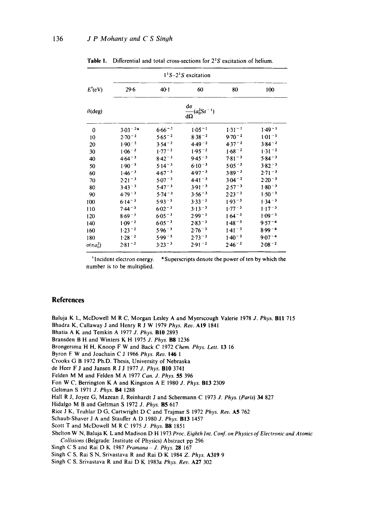|                     |             | $11S-21S$ excitation                      |             |            |            |  |
|---------------------|-------------|-------------------------------------------|-------------|------------|------------|--|
| $E^{\dagger}$ (eV)  | $29-6$      | $40-1$                                    | 60          | 80         | 100        |  |
| $\theta$ (deg)      |             | do<br>$\frac{1}{d\Omega}(a_0^2 S r^{-1})$ |             |            |            |  |
| 0                   | $3.03 - 2*$ | $6.66 - 2$                                | $1.05 - 1$  | $1.31 - 1$ | $1.49 - 1$ |  |
| 10                  | $2.70 - 2$  | $5.65 - 2$                                | $8.38 - 2$  | $9.70 - 2$ | $1.01 - 1$ |  |
| 20                  | $1.90 - 2$  | $3.54 - 2$                                | $4.49 - 2$  | $4.37 - 2$ | $3.84 - 2$ |  |
| 30                  | $1.06 - 2$  | $1.77 - 2$                                | $1.95 - 2$  | $1.68 - 2$ | $1.31 - 2$ |  |
| 40                  | $4.64 - 3$  | $8.42 - 3$                                | $9.45 - 3$  | $7.81 - 3$ | $5.84 - 3$ |  |
| 50                  | $1.90 - 3$  | $5.14 - 3$                                | $6.10^{-3}$ | $5.05 - 3$ | $3.82 - 3$ |  |
| 60                  | $1.46 - 3$  | $4.67 - 3$                                | $4.97 - 3$  | $3.89 - 3$ | $2.71 - 3$ |  |
| 70                  | $2.21 - 3$  | $5.07 - 3$                                | $4.41 - 3$  | $3.04 - 3$ | $2.20 - 3$ |  |
| 80                  | $3.43 - 3$  | $5.47 - 3$                                | $3.91 - 3$  | $2.57 - 3$ | $1.80 - 3$ |  |
| 90                  | $4.79 - 3$  | $5.74 - 3$                                | $3.56 - 3$  | $2.23 - 3$ | $1.50 - 3$ |  |
| 100                 | $6.14 - 3$  | $5.93 - 3$                                | $3.33 - 3$  | $1.93 - 3$ | $1.34 - 3$ |  |
| 110                 | $7.44 - 3$  | $6.02 - 3$                                | $3.13 - 3$  | $1.77 - 3$ | $1.17 - 3$ |  |
| 120                 | $8.69 - 3$  | $6.05 - 3$                                | $2.99 - 3$  | $1.64 - 3$ | $1.09 - 3$ |  |
| 140                 | $1.09 - 2$  | $6.05 - 3$                                | $2.83 - 3$  | $1.48 - 3$ | $9.57 - 4$ |  |
| 160                 | $1.23 - 2$  | $5.96 - 3$                                | $2.76 - 3$  | $1.41 - 3$ | $8.99 - 4$ |  |
| 180                 | $1.28 - 2$  | $5.99 - 3$                                | $2.73 - 3$  | $1.40 - 3$ | $907 - 4$  |  |
| $\sigma(\pi a_0^2)$ | $2.81 - 2$  | $3.23 - 3$                                | $2.91 - 2$  | $2.46 - 2$ | $2.08 - 2$ |  |

Table 1. Differential and total cross-sections for 2<sup>1</sup>S excitation of helium.

<sup>†</sup>Incident electron energy. \*Superscripts denote the power of ten by which the number is to be multiplied.

#### **References**

Baluja K L, McDowell M R C, Morgan Lesley A and Myerscough Valerie 1978 J. Phys. **B11** 715 Bhadra K, Callaway J and Henry R J W 1979 *Phys. Rev.* AI9 1841 Bhatia A K and Temkin A 1977 *J. Phys.* BI0 2893 Bransden B H and Winters K H 1975 J. *Phys.* B8 1236 Brongersma H H, Knoop F W and Back C t972 *Chem. Phys. Lett.* 13 16 Byron F W and Joachain C J 1966 *Phys. Rev. 146 1*  Crooks G B 1972 Ph.D. Thesis, University of Nebraska de Heer F J and Jansen R J J 1977 *J. Phys.* BI0 3741 Felden M M and Felden M A 1977 *Can, d. Phys.* 55 396 Fon W C, Berrington K A and Kingston A E 1980 *J. Phys.* BI3 2309 Geltman S 1971 J. Phys. **B4** 1288 Hall R J, Joyez G, Mazean J, Reinhardt J and Schermann C 1973 J. *Phys. (Paris) 34* 827 Hidalgo M B and Geltman S 1972 *J. Phys.* B5 617 Rice J K, Truhlar D G, Cartwright D C and Trajmar S 1972 *Phys. Rev.* A5 762 Schaub-Shaver J A and Stauffer A D 1980 *J. Phys.* BI3 1457 Scott T and McDowell M R C 1975 J. Phys. **B8** 1851 Shelton W N, Baluja K L and Madison D H 1973 *Proc. Eighth Int. Conf. on Physics of Electronic and Atomic Collisions* (Belgrade: Institute of Physics) Abstract pp 296 Singh C S and Rai D K 1987 *Pramana J. Phys.* 28 167 Singh C S, Rai S N, Srivastava R and Rai D K 1984 *Z. Phys.* A319 9 Singh C S, Srivastava R and Rai D K 1983a *Phys. Rev.* A27 302